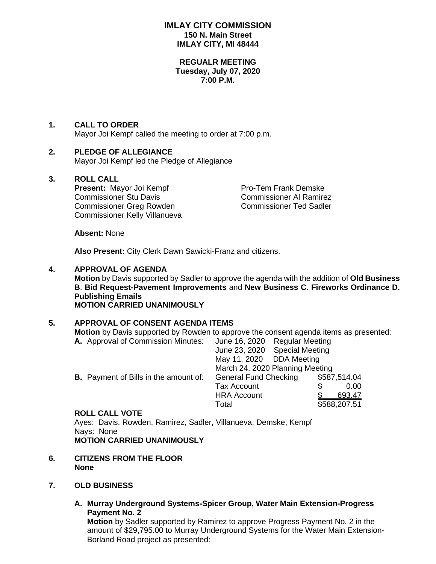## **IMLAY CITY COMMISSION 150 N. Main Street IMLAY CITY, MI 48444**

#### **REGUALR MEETING Tuesday, July 07, 2020 7:00 P.M.**

# **1. CALL TO ORDER**

Mayor Joi Kempf called the meeting to order at 7:00 p.m.

# **2. PLEDGE OF ALLEGIANCE**

Mayor Joi Kempf led the Pledge of Allegiance

### **3. ROLL CALL**

**Present:** Mayor Joi Kempf Pro-Tem Frank Demske<br>
Commissioner Stu Davis<br>
Commissioner Stu Davis Commissioner Stu Davis Commissioner Greg Rowden Commissioner Ted Sadler Commissioner Kelly Villanueva

**Absent:** None

**Also Present:** City Clerk Dawn Sawicki-Franz and citizens.

# **4. APPROVAL OF AGENDA Motion** by Davis supported by Sadler to approve the agenda with the addition of **Old Business**

**B**. **Bid Request-Pavement Improvements** and **New Business C. Fireworks Ordinance D. Publishing Emails MOTION CARRIED UNANIMOUSLY**

# **5. APPROVAL OF CONSENT AGENDA ITEMS**

**Motion** by Davis supported by Rowden to approve the consent agenda items as presented:

| A. Approval of Commission Minutes:           | June 16, 2020                   |  | <b>Regular Meeting</b> |              |
|----------------------------------------------|---------------------------------|--|------------------------|--------------|
|                                              | June 23, 2020                   |  | <b>Special Meeting</b> |              |
|                                              | May 11, 2020 DDA Meeting        |  |                        |              |
|                                              | March 24, 2020 Planning Meeting |  |                        |              |
| <b>B.</b> Payment of Bills in the amount of: | <b>General Fund Checking</b>    |  | \$587,514.04           |              |
|                                              | <b>Tax Account</b>              |  |                        | 0.00         |
|                                              | <b>HRA Account</b>              |  |                        | 693.47       |
|                                              | Total                           |  |                        | \$588,207.51 |
|                                              |                                 |  |                        |              |

**ROLL CALL VOTE**

Ayes: Davis, Rowden, Ramirez, Sadler, Villanueva, Demske, Kempf Nays: None **MOTION CARRIED UNANIMOUSLY**

- **6. CITIZENS FROM THE FLOOR None**
- **7. OLD BUSINESS**
	- **A. Murray Underground Systems-Spicer Group, Water Main Extension-Progress Payment No. 2**

**Motion** by Sadler supported by Ramirez to approve Progress Payment No. 2 in the amount of \$29,795.00 to Murray Underground Systems for the Water Main Extension-Borland Road project as presented: